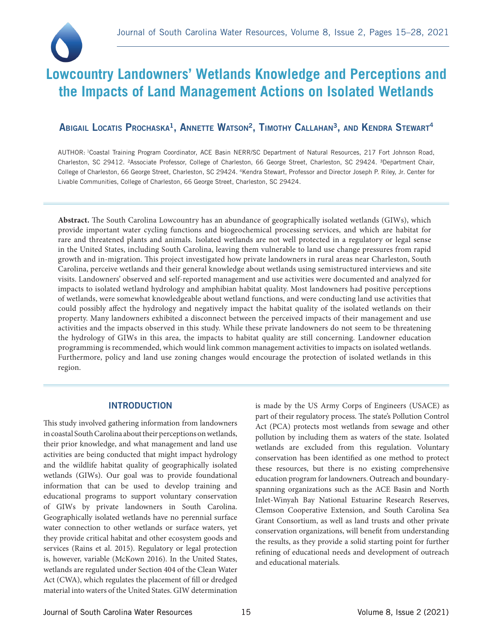

# **Lowcountry Landowners' Wetlands Knowledge and Perceptions and the Impacts of Land Management Actions on Isolated Wetlands**

# Abigail Locatis Prochaska<sup>1</sup>, Annette Watson<sup>2</sup>, Timothy Callahan<sup>3</sup>, and Kendra Stewart<sup>4</sup>

AUTHOR: 1Coastal Training Program Coordinator, ACE Basin NERR/SC Department of Natural Resources, 217 Fort Johnson Road, Charleston, SC 29412. <sup>2</sup>Associate Professor, College of Charleston, 66 George Street, Charleston, SC 29424. <sup>3</sup>Department Chair, College of Charleston, 66 George Street, Charleston, SC 29424. 4Kendra Stewart, Professor and Director Joseph P. Riley, Jr. Center for Livable Communities, College of Charleston, 66 George Street, Charleston, SC 29424.

**Abstract.** The South Carolina Lowcountry has an abundance of geographically isolated wetlands (GIWs), which provide important water cycling functions and biogeochemical processing services, and which are habitat for rare and threatened plants and animals. Isolated wetlands are not well protected in a regulatory or legal sense in the United States, including South Carolina, leaving them vulnerable to land use change pressures from rapid growth and in-migration. This project investigated how private landowners in rural areas near Charleston, South Carolina, perceive wetlands and their general knowledge about wetlands using semistructured interviews and site visits. Landowners' observed and self-reported management and use activities were documented and analyzed for impacts to isolated wetland hydrology and amphibian habitat quality. Most landowners had positive perceptions of wetlands, were somewhat knowledgeable about wetland functions, and were conducting land use activities that could possibly affect the hydrology and negatively impact the habitat quality of the isolated wetlands on their property. Many landowners exhibited a disconnect between the perceived impacts of their management and use activities and the impacts observed in this study. While these private landowners do not seem to be threatening the hydrology of GIWs in this area, the impacts to habitat quality are still concerning. Landowner education programming is recommended, which would link common management activities to impacts on isolated wetlands. Furthermore, policy and land use zoning changes would encourage the protection of isolated wetlands in this region.

#### INTRODUCTION

This study involved gathering information from landowners in coastal South Carolina about their perceptions on wetlands, their prior knowledge, and what management and land use activities are being conducted that might impact hydrology and the wildlife habitat quality of geographically isolated wetlands (GIWs). Our goal was to provide foundational information that can be used to develop training and educational programs to support voluntary conservation of GIWs by private landowners in South Carolina. Geographically isolated wetlands have no perennial surface water connection to other wetlands or surface waters, yet they provide critical habitat and other ecosystem goods and services (Rains et al. 2015). Regulatory or legal protection is, however, variable (McKown 2016). In the United States, wetlands are regulated under Section 404 of the Clean Water Act (CWA), which regulates the placement of fill or dredged material into waters of the United States. GIW determination

is made by the US Army Corps of Engineers (USACE) as part of their regulatory process. The state's Pollution Control Act (PCA) protects most wetlands from sewage and other pollution by including them as waters of the state. Isolated wetlands are excluded from this regulation. Voluntary conservation has been identified as one method to protect these resources, but there is no existing comprehensive education program for landowners. Outreach and boundaryspanning organizations such as the ACE Basin and North Inlet-Winyah Bay National Estuarine Research Reserves, Clemson Cooperative Extension, and South Carolina Sea Grant Consortium, as well as land trusts and other private conservation organizations, will benefit from understanding the results, as they provide a solid starting point for further refining of educational needs and development of outreach and educational materials.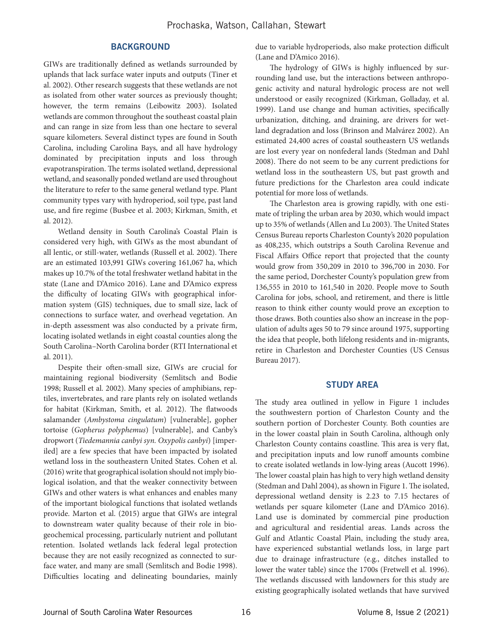#### **BACKGROUND**

GIWs are traditionally defined as wetlands surrounded by uplands that lack surface water inputs and outputs (Tiner et al. 2002). Other research suggests that these wetlands are not as isolated from other water sources as previously thought; however, the term remains (Leibowitz 2003). Isolated wetlands are common throughout the southeast coastal plain and can range in size from less than one hectare to several square kilometers. Several distinct types are found in South Carolina, including Carolina Bays, and all have hydrology dominated by precipitation inputs and loss through evapotranspiration. The terms isolated wetland, depressional wetland, and seasonally ponded wetland are used throughout the literature to refer to the same general wetland type. Plant community types vary with hydroperiod, soil type, past land use, and fire regime (Busbee et al. 2003; Kirkman, Smith, et al. 2012).

Wetland density in South Carolina's Coastal Plain is considered very high, with GIWs as the most abundant of all lentic, or still-water, wetlands (Russell et al. 2002). There are an estimated 103,991 GIWs covering 161,067 ha, which makes up 10.7% of the total freshwater wetland habitat in the state (Lane and D'Amico 2016). Lane and D'Amico express the difficulty of locating GIWs with geographical information system (GIS) techniques, due to small size, lack of connections to surface water, and overhead vegetation. An in-depth assessment was also conducted by a private firm, locating isolated wetlands in eight coastal counties along the South Carolina–North Carolina border (RTI International et al. 2011).

Despite their often-small size, GIWs are crucial for maintaining regional biodiversity (Semlitsch and Bodie 1998; Russell et al. 2002). Many species of amphibians, reptiles, invertebrates, and rare plants rely on isolated wetlands for habitat (Kirkman, Smith, et al. 2012). The flatwoods salamander (*Ambystoma cingulatum*) [vulnerable], gopher tortoise (*Gopherus polyphemus*) [vulnerable], and Canby's dropwort (*Tiedemannia canbyi syn. Oxypolis canbyi*) [imperiled] are a few species that have been impacted by isolated wetland loss in the southeastern United States. Cohen et al. (2016) write that geographical isolation should not imply biological isolation, and that the weaker connectivity between GIWs and other waters is what enhances and enables many of the important biological functions that isolated wetlands provide. Marton et al. (2015) argue that GIWs are integral to downstream water quality because of their role in biogeochemical processing, particularly nutrient and pollutant retention. Isolated wetlands lack federal legal protection because they are not easily recognized as connected to surface water, and many are small (Semlitsch and Bodie 1998). Difficulties locating and delineating boundaries, mainly due to variable hydroperiods, also make protection difficult (Lane and D'Amico 2016).

The hydrology of GIWs is highly influenced by surrounding land use, but the interactions between anthropogenic activity and natural hydrologic process are not well understood or easily recognized (Kirkman, Golladay, et al. 1999). Land use change and human activities, specifically urbanization, ditching, and draining, are drivers for wetland degradation and loss (Brinson and Malvárez 2002). An estimated 24,400 acres of coastal southeastern US wetlands are lost every year on nonfederal lands (Stedman and Dahl 2008). There do not seem to be any current predictions for wetland loss in the southeastern US, but past growth and future predictions for the Charleston area could indicate potential for more loss of wetlands.

The Charleston area is growing rapidly, with one estimate of tripling the urban area by 2030, which would impact up to 35% of wetlands (Allen and Lu 2003). The United States Census Bureau reports Charleston County's 2020 population as 408,235, which outstrips a South Carolina Revenue and Fiscal Affairs Office report that projected that the county would grow from 350,209 in 2010 to 396,700 in 2030. For the same period, Dorchester County's population grew from 136,555 in 2010 to 161,540 in 2020. People move to South Carolina for jobs, school, and retirement, and there is little reason to think either county would prove an exception to those draws. Both counties also show an increase in the population of adults ages 50 to 79 since around 1975, supporting the idea that people, both lifelong residents and in-migrants, retire in Charleston and Dorchester Counties (US Census Bureau 2017).

### STUDY AREA

The study area outlined in yellow in Figure 1 includes the southwestern portion of Charleston County and the southern portion of Dorchester County. Both counties are in the lower coastal plain in South Carolina, although only Charleston County contains coastline. This area is very flat, and precipitation inputs and low runoff amounts combine to create isolated wetlands in low-lying areas (Aucott 1996). The lower coastal plain has high to very high wetland density (Stedman and Dahl 2004), as shown in Figure 1. The isolated, depressional wetland density is 2.23 to 7.15 hectares of wetlands per square kilometer (Lane and D'Amico 2016). Land use is dominated by commercial pine production and agricultural and residential areas. Lands across the Gulf and Atlantic Coastal Plain, including the study area, have experienced substantial wetlands loss, in large part due to drainage infrastructure (e.g., ditches installed to lower the water table) since the 1700s (Fretwell et al. 1996). The wetlands discussed with landowners for this study are existing geographically isolated wetlands that have survived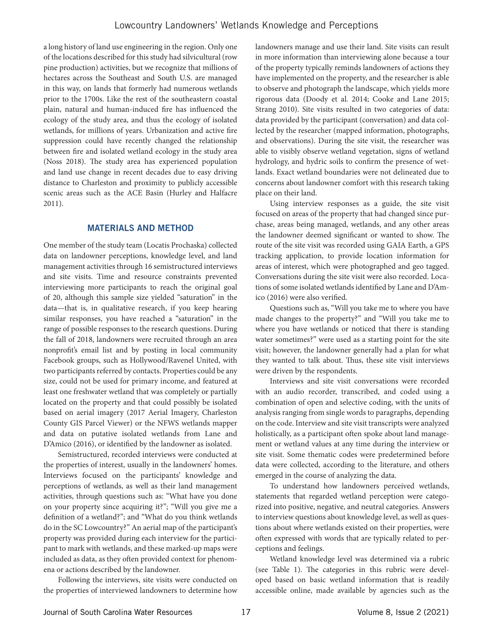a long history of land use engineering in the region. Only one of the locations described for this study had silvicultural (row pine production) activities, but we recognize that millions of hectares across the Southeast and South U.S. are managed in this way, on lands that formerly had numerous wetlands prior to the 1700s. Like the rest of the southeastern coastal plain, natural and human-induced fire has influenced the ecology of the study area, and thus the ecology of isolated wetlands, for millions of years. Urbanization and active fire suppression could have recently changed the relationship between fire and isolated wetland ecology in the study area (Noss 2018). The study area has experienced population and land use change in recent decades due to easy driving distance to Charleston and proximity to publicly accessible scenic areas such as the ACE Basin (Hurley and Halfacre 2011).

# MATERIALS AND METHOD

One member of the study team (Locatis Prochaska) collected data on landowner perceptions, knowledge level, and land management activities through 16 semistructured interviews and site visits. Time and resource constraints prevented interviewing more participants to reach the original goal of 20, although this sample size yielded "saturation" in the data—that is, in qualitative research, if you keep hearing similar responses, you have reached a "saturation" in the range of possible responses to the research questions. During the fall of 2018, landowners were recruited through an area nonprofit's email list and by posting in local community Facebook groups, such as Hollywood/Ravenel United, with two participants referred by contacts. Properties could be any size, could not be used for primary income, and featured at least one freshwater wetland that was completely or partially located on the property and that could possibly be isolated based on aerial imagery (2017 Aerial Imagery, Charleston County GIS Parcel Viewer) or the NFWS wetlands mapper and data on putative isolated wetlands from Lane and D'Amico (2016), or identified by the landowner as isolated.

Semistructured, recorded interviews were conducted at the properties of interest, usually in the landowners' homes. Interviews focused on the participants' knowledge and perceptions of wetlands, as well as their land management activities, through questions such as: "What have you done on your property since acquiring it?"; "Will you give me a definition of a wetland?"; and "What do you think wetlands do in the SC Lowcountry?" An aerial map of the participant's property was provided during each interview for the participant to mark with wetlands, and these marked-up maps were included as data, as they often provided context for phenomena or actions described by the landowner.

Following the interviews, site visits were conducted on the properties of interviewed landowners to determine how

landowners manage and use their land. Site visits can result in more information than interviewing alone because a tour of the property typically reminds landowners of actions they have implemented on the property, and the researcher is able to observe and photograph the landscape, which yields more rigorous data (Doody et al. 2014; Cooke and Lane 2015; Strang 2010). Site visits resulted in two categories of data: data provided by the participant (conversation) and data collected by the researcher (mapped information, photographs, and observations). During the site visit, the researcher was able to visibly observe wetland vegetation, signs of wetland hydrology, and hydric soils to confirm the presence of wetlands. Exact wetland boundaries were not delineated due to concerns about landowner comfort with this research taking place on their land.

Using interview responses as a guide, the site visit focused on areas of the property that had changed since purchase, areas being managed, wetlands, and any other areas the landowner deemed significant or wanted to show. The route of the site visit was recorded using GAIA Earth, a GPS tracking application, to provide location information for areas of interest, which were photographed and geo tagged. Conversations during the site visit were also recorded. Locations of some isolated wetlands identified by Lane and D'Amico (2016) were also verified.

Questions such as, "Will you take me to where you have made changes to the property?" and "Will you take me to where you have wetlands or noticed that there is standing water sometimes?" were used as a starting point for the site visit; however, the landowner generally had a plan for what they wanted to talk about. Thus, these site visit interviews were driven by the respondents.

Interviews and site visit conversations were recorded with an audio recorder, transcribed, and coded using a combination of open and selective coding, with the units of analysis ranging from single words to paragraphs, depending on the code. Interview and site visit transcripts were analyzed holistically, as a participant often spoke about land management or wetland values at any time during the interview or site visit. Some thematic codes were predetermined before data were collected, according to the literature, and others emerged in the course of analyzing the data.

To understand how landowners perceived wetlands, statements that regarded wetland perception were categorized into positive, negative, and neutral categories. Answers to interview questions about knowledge level, as well as questions about where wetlands existed on their properties, were often expressed with words that are typically related to perceptions and feelings.

Wetland knowledge level was determined via a rubric (see Table 1). The categories in this rubric were developed based on basic wetland information that is readily accessible online, made available by agencies such as the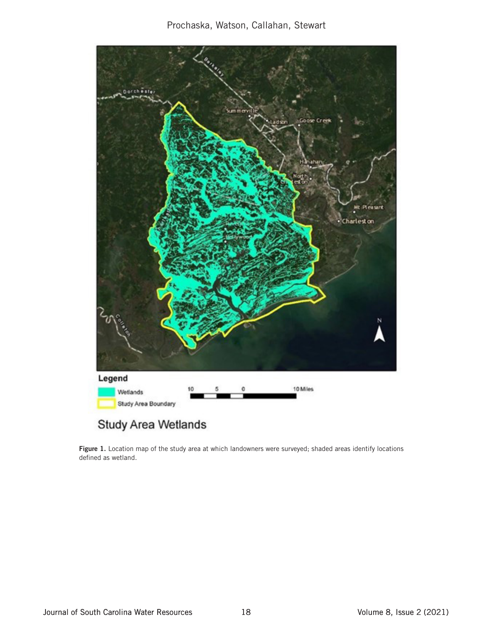

# Study Area Wetlands

Figure 1. Location map of the study area at which landowners were surveyed; shaded areas identify locations defined as wetland.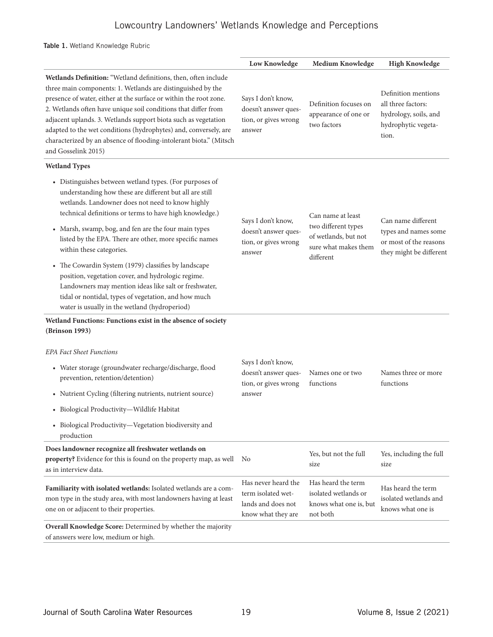# Lowcountry Landowners' Wetlands Knowledge and Perceptions

### Table 1. Wetland Knowledge Rubric

|                                                                                                                                                                                                                                                                                                                                                                                                                                                                                                         | <b>Low Knowledge</b>                                                                  | Medium Knowledge                                                                 | <b>High Knowledge</b>                                                                              |  |
|---------------------------------------------------------------------------------------------------------------------------------------------------------------------------------------------------------------------------------------------------------------------------------------------------------------------------------------------------------------------------------------------------------------------------------------------------------------------------------------------------------|---------------------------------------------------------------------------------------|----------------------------------------------------------------------------------|----------------------------------------------------------------------------------------------------|--|
| Wetlands Definition: "Wetland definitions, then, often include<br>three main components: 1. Wetlands are distinguished by the<br>presence of water, either at the surface or within the root zone.<br>2. Wetlands often have unique soil conditions that differ from<br>adjacent uplands. 3. Wetlands support biota such as vegetation<br>adapted to the wet conditions (hydrophytes) and, conversely, are<br>characterized by an absence of flooding-intolerant biota." (Mitsch<br>and Gosselink 2015) | Says I don't know,<br>doesn't answer ques-<br>tion, or gives wrong<br>answer          | Definition focuses on<br>appearance of one or<br>two factors                     | Definition mentions<br>all three factors:<br>hydrology, soils, and<br>hydrophytic vegeta-<br>tion. |  |
| <b>Wetland Types</b>                                                                                                                                                                                                                                                                                                                                                                                                                                                                                    |                                                                                       |                                                                                  |                                                                                                    |  |
| • Distinguishes between wetland types. (For purposes of<br>understanding how these are different but all are still<br>wetlands. Landowner does not need to know highly<br>technical definitions or terms to have high knowledge.)                                                                                                                                                                                                                                                                       | Says I don't know,                                                                    | Can name at least<br>two different types                                         | Can name different<br>types and names some<br>or most of the reasons<br>they might be different    |  |
| • Marsh, swamp, bog, and fen are the four main types<br>listed by the EPA. There are other, more specific names<br>within these categories.                                                                                                                                                                                                                                                                                                                                                             | doesn't answer ques-<br>tion, or gives wrong<br>answer                                | of wetlands, but not<br>sure what makes them<br>different                        |                                                                                                    |  |
| • The Cowardin System (1979) classifies by landscape<br>position, vegetation cover, and hydrologic regime.<br>Landowners may mention ideas like salt or freshwater,<br>tidal or nontidal, types of vegetation, and how much<br>water is usually in the wetland (hydroperiod)                                                                                                                                                                                                                            |                                                                                       |                                                                                  |                                                                                                    |  |
| Wetland Functions: Functions exist in the absence of society<br>(Brinson 1993)                                                                                                                                                                                                                                                                                                                                                                                                                          |                                                                                       |                                                                                  |                                                                                                    |  |
| <b>EPA Fact Sheet Functions</b>                                                                                                                                                                                                                                                                                                                                                                                                                                                                         |                                                                                       |                                                                                  |                                                                                                    |  |
| • Water storage (groundwater recharge/discharge, flood<br>prevention, retention/detention)                                                                                                                                                                                                                                                                                                                                                                                                              | Says I don't know,<br>doesn't answer ques-<br>tion, or gives wrong                    | Names one or two<br>functions                                                    | Names three or more<br>functions                                                                   |  |
| • Nutrient Cycling (filtering nutrients, nutrient source)                                                                                                                                                                                                                                                                                                                                                                                                                                               | answer                                                                                |                                                                                  |                                                                                                    |  |
| · Biological Productivity-Wildlife Habitat                                                                                                                                                                                                                                                                                                                                                                                                                                                              |                                                                                       |                                                                                  |                                                                                                    |  |
| • Biological Productivity-Vegetation biodiversity and<br>production                                                                                                                                                                                                                                                                                                                                                                                                                                     |                                                                                       |                                                                                  |                                                                                                    |  |
| Does landowner recognize all freshwater wetlands on<br>property? Evidence for this is found on the property map, as well<br>as in interview data.                                                                                                                                                                                                                                                                                                                                                       | No                                                                                    | Yes, but not the full<br>size                                                    | Yes, including the full<br>size                                                                    |  |
| Familiarity with isolated wetlands: Isolated wetlands are a com-<br>mon type in the study area, with most landowners having at least<br>one on or adjacent to their properties.                                                                                                                                                                                                                                                                                                                         | Has never heard the<br>term isolated wet-<br>lands and does not<br>know what they are | Has heard the term<br>isolated wetlands or<br>knows what one is, but<br>not both | Has heard the term<br>isolated wetlands and<br>knows what one is                                   |  |
| Overall Knowledge Score: Determined by whether the majority<br>of answers were low, medium or high.                                                                                                                                                                                                                                                                                                                                                                                                     |                                                                                       |                                                                                  |                                                                                                    |  |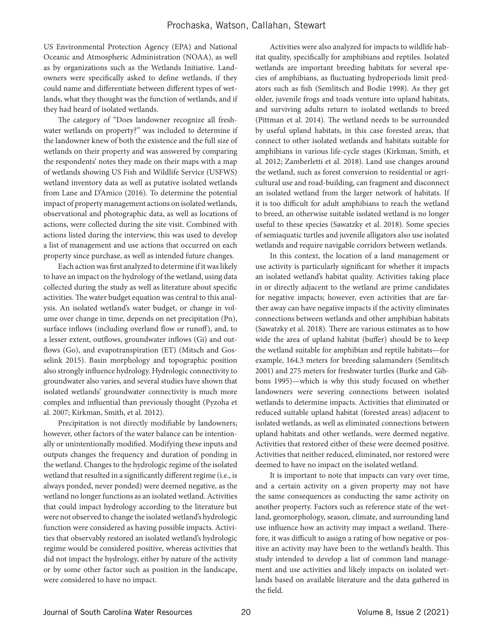US Environmental Protection Agency (EPA) and National Oceanic and Atmospheric Administration (NOAA), as well as by organizations such as the Wetlands Initiative. Landowners were specifically asked to define wetlands, if they could name and differentiate between different types of wetlands, what they thought was the function of wetlands, and if they had heard of isolated wetlands.

The category of "Does landowner recognize all freshwater wetlands on property?" was included to determine if the landowner knew of both the existence and the full size of wetlands on their property and was answered by comparing the respondents' notes they made on their maps with a map of wetlands showing US Fish and Wildlife Service (USFWS) wetland inventory data as well as putative isolated wetlands from Lane and D'Amico (2016). To determine the potential impact of property management actions on isolated wetlands, observational and photographic data, as well as locations of actions, were collected during the site visit. Combined with actions listed during the interview, this was used to develop a list of management and use actions that occurred on each property since purchase, as well as intended future changes.

Each action was first analyzed to determine if it was likely to have an impact on the hydrology of the wetland, using data collected during the study as well as literature about specific activities. The water budget equation was central to this analysis. An isolated wetland's water budget, or change in volume over change in time, depends on net precipitation (Pn), surface inflows (including overland flow or runoff), and, to a lesser extent, outflows, groundwater inflows (Gi) and outflows (Go), and evapotranspiration (ET) (Mitsch and Gosselink 2015). Basin morphology and topographic position also strongly influence hydrology. Hydrologic connectivity to groundwater also varies, and several studies have shown that isolated wetlands' groundwater connectivity is much more complex and influential than previously thought (Pyzoha et al. 2007; Kirkman, Smith, et al. 2012).

Precipitation is not directly modifiable by landowners; however, other factors of the water balance can be intentionally or unintentionally modified. Modifying these inputs and outputs changes the frequency and duration of ponding in the wetland. Changes to the hydrologic regime of the isolated wetland that resulted in a significantly different regime (i.e., is always ponded, never ponded) were deemed negative, as the wetland no longer functions as an isolated wetland. Activities that could impact hydrology according to the literature but were not observed to change the isolated wetland's hydrologic function were considered as having possible impacts. Activities that observably restored an isolated wetland's hydrologic regime would be considered positive, whereas activities that did not impact the hydrology, either by nature of the activity or by some other factor such as position in the landscape, were considered to have no impact.

Activities were also analyzed for impacts to wildlife habitat quality, specifically for amphibians and reptiles. Isolated wetlands are important breeding habitats for several species of amphibians, as fluctuating hydroperiods limit predators such as fish (Semlitsch and Bodie 1998). As they get older, juvenile frogs and toads venture into upland habitats, and surviving adults return to isolated wetlands to breed (Pittman et al. 2014). The wetland needs to be surrounded by useful upland habitats, in this case forested areas, that connect to other isolated wetlands and habitats suitable for amphibians in various life-cycle stages (Kirkman, Smith, et al. 2012; Zamberletti et al. 2018). Land use changes around the wetland, such as forest conversion to residential or agricultural use and road-building, can fragment and disconnect an isolated wetland from the larger network of habitats. If it is too difficult for adult amphibians to reach the wetland to breed, an otherwise suitable isolated wetland is no longer useful to these species (Sawatzky et al. 2018). Some species of semiaquatic turtles and juvenile alligators also use isolated wetlands and require navigable corridors between wetlands.

In this context, the location of a land management or use activity is particularly significant for whether it impacts an isolated wetland's habitat quality. Activities taking place in or directly adjacent to the wetland are prime candidates for negative impacts; however, even activities that are farther away can have negative impacts if the activity eliminates connections between wetlands and other amphibian habitats (Sawatzky et al. 2018). There are various estimates as to how wide the area of upland habitat (buffer) should be to keep the wetland suitable for amphibian and reptile habitats—for example, 164.3 meters for breeding salamanders (Semlitsch 2001) and 275 meters for freshwater turtles (Burke and Gibbons 1995)—which is why this study focused on whether landowners were severing connections between isolated wetlands to determine impacts. Activities that eliminated or reduced suitable upland habitat (forested areas) adjacent to isolated wetlands, as well as eliminated connections between upland habitats and other wetlands, were deemed negative. Activities that restored either of these were deemed positive. Activities that neither reduced, eliminated, nor restored were deemed to have no impact on the isolated wetland.

It is important to note that impacts can vary over time, and a certain activity on a given property may not have the same consequences as conducting the same activity on another property. Factors such as reference state of the wetland, geomorphology, season, climate, and surrounding land use influence how an activity may impact a wetland. Therefore, it was difficult to assign a rating of how negative or positive an activity may have been to the wetland's health. This study intended to develop a list of common land management and use activities and likely impacts on isolated wetlands based on available literature and the data gathered in the field.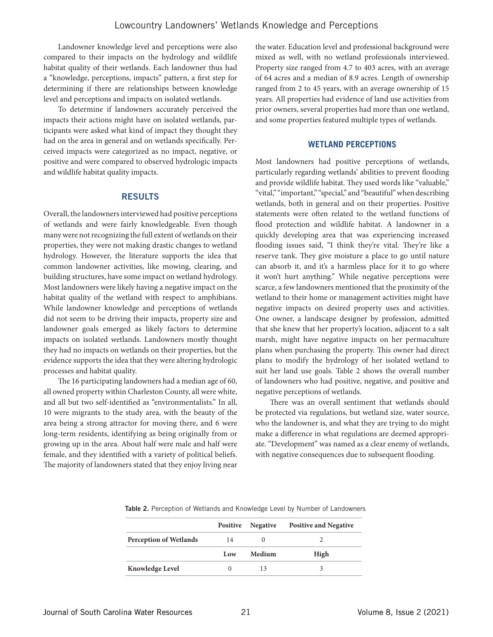Landowner knowledge level and perceptions were also compared to their impacts on the hydrology and wildlife habitat quality of their wetlands. Each landowner thus had a "knowledge, perceptions, impacts" pattern, a first step for determining if there are relationships between knowledge level and perceptions and impacts on isolated wetlands.

To determine if landowners accurately perceived the impacts their actions might have on isolated wetlands, participants were asked what kind of impact they thought they had on the area in general and on wetlands specifically. Perceived impacts were categorized as no impact, negative, or positive and were compared to observed hydrologic impacts and wildlife habitat quality impacts.

#### RESULTS

Overall, the landowners interviewed had positive perceptions of wetlands and were fairly knowledgeable. Even though many were not recognizing the full extent of wetlands on their properties, they were not making drastic changes to wetland hydrology. However, the literature supports the idea that common landowner activities, like mowing, clearing, and building structures, have some impact on wetland hydrology. Most landowners were likely having a negative impact on the habitat quality of the wetland with respect to amphibians. While landowner knowledge and perceptions of wetlands did not seem to be driving their impacts, property size and landowner goals emerged as likely factors to determine impacts on isolated wetlands. Landowners mostly thought they had no impacts on wetlands on their properties, but the evidence supports the idea that they were altering hydrologic processes and habitat quality.

The 16 participating landowners had a median age of 60, all owned property within Charleston County, all were white, and all but two self-identified as "environmentalists." In all, 10 were migrants to the study area, with the beauty of the area being a strong attractor for moving there, and 6 were long-term residents, identifying as being originally from or growing up in the area. About half were male and half were female, and they identified with a variety of political beliefs. The majority of landowners stated that they enjoy living near

the water. Education level and professional background were mixed as well, with no wetland professionals interviewed. Property size ranged from 4.7 to 403 acres, with an average of 64 acres and a median of 8.9 acres. Length of ownership ranged from 2 to 45 years, with an average ownership of 15 years. All properties had evidence of land use activities from prior owners, several properties had more than one wetland, and some properties featured multiple types of wetlands.

#### **WETLAND PERCEPTIONS**

Most landowners had positive perceptions of wetlands, particularly regarding wetlands' abilities to prevent flooding and provide wildlife habitat. They used words like "valuable," "vital," "important," "special," and "beautiful" when describing wetlands, both in general and on their properties. Positive statements were often related to the wetland functions of flood protection and wildlife habitat. A landowner in a quickly developing area that was experiencing increased flooding issues said, "I think they're vital. They're like a reserve tank. They give moisture a place to go until nature can absorb it, and it's a harmless place for it to go where it won't hurt anything." While negative perceptions were scarce, a few landowners mentioned that the proximity of the wetland to their home or management activities might have negative impacts on desired property uses and activities. One owner, a landscape designer by profession, admitted that she knew that her property's location, adjacent to a salt marsh, might have negative impacts on her permaculture plans when purchasing the property. This owner had direct plans to modify the hydrology of her isolated wetland to suit her land use goals. Table 2 shows the overall number of landowners who had positive, negative, and positive and negative perceptions of wetlands.

There was an overall sentiment that wetlands should be protected via regulations, but wetland size, water source, who the landowner is, and what they are trying to do might make a difference in what regulations are deemed appropriate. "Development" was named as a clear enemy of wetlands, with negative consequences due to subsequent flooding.

|                               | <b>Positive</b> | Negative | <b>Positive and Negative</b> |
|-------------------------------|-----------------|----------|------------------------------|
| <b>Perception of Wetlands</b> | 14              |          |                              |
|                               | Low             | Medium   | High                         |
| <b>Knowledge Level</b>        |                 |          |                              |

Table 2. Perception of Wetlands and Knowledge Level by Number of Landowners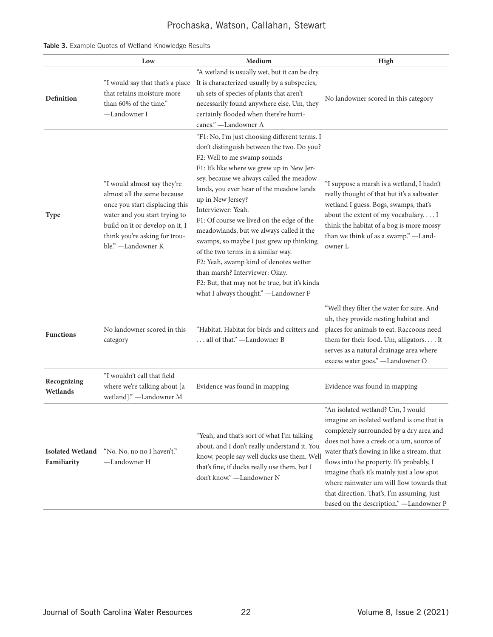# Prochaska, Watson, Callahan, Stewart

|  |  |  |  |  |  | Table 3. Example Quotes of Wetland Knowledge Results |  |
|--|--|--|--|--|--|------------------------------------------------------|--|
|--|--|--|--|--|--|------------------------------------------------------|--|

|                                        | Low                                                                                                                                                                                                                     | Medium                                                                                                                                                                                                                                                                                                                                                                                                                                                                                                                                                                                                                                                      | High                                                                                                                                                                                                                                                                                                                                                                                                                                                    |
|----------------------------------------|-------------------------------------------------------------------------------------------------------------------------------------------------------------------------------------------------------------------------|-------------------------------------------------------------------------------------------------------------------------------------------------------------------------------------------------------------------------------------------------------------------------------------------------------------------------------------------------------------------------------------------------------------------------------------------------------------------------------------------------------------------------------------------------------------------------------------------------------------------------------------------------------------|---------------------------------------------------------------------------------------------------------------------------------------------------------------------------------------------------------------------------------------------------------------------------------------------------------------------------------------------------------------------------------------------------------------------------------------------------------|
| Definition                             | "I would say that that's a place<br>that retains moisture more<br>than 60% of the time."<br>-Landowner I                                                                                                                | "A wetland is usually wet, but it can be dry.<br>It is characterized usually by a subspecies,<br>uh sets of species of plants that aren't<br>necessarily found anywhere else. Um, they<br>certainly flooded when there're hurri-<br>canes." -Landowner A                                                                                                                                                                                                                                                                                                                                                                                                    | No landowner scored in this category                                                                                                                                                                                                                                                                                                                                                                                                                    |
| <b>Type</b>                            | "I would almost say they're<br>almost all the same because<br>once you start displacing this<br>water and you start trying to<br>build on it or develop on it, I<br>think you're asking for trou-<br>ble." -Landowner K | "F1: No, I'm just choosing different terms. I<br>don't distinguish between the two. Do you?<br>F2: Well to me swamp sounds<br>F1: It's like where we grew up in New Jer-<br>sey, because we always called the meadow<br>lands, you ever hear of the meadow lands<br>up in New Jersey?<br>Interviewer: Yeah.<br>F1: Of course we lived on the edge of the<br>meadowlands, but we always called it the<br>swamps, so maybe I just grew up thinking<br>of the two terms in a similar way.<br>F2: Yeah, swamp kind of denotes wetter<br>than marsh? Interviewer: Okay.<br>F2: But, that may not be true, but it's kinda<br>what I always thought." -Landowner F | "I suppose a marsh is a wetland, I hadn't<br>really thought of that but it's a saltwater<br>wetland I guess. Bogs, swamps, that's<br>about the extent of my vocabulary I<br>think the habitat of a bog is more mossy<br>than we think of as a swamp." -Land-<br>owner L                                                                                                                                                                                 |
| <b>Functions</b>                       | No landowner scored in this<br>category                                                                                                                                                                                 | "Habitat. Habitat for birds and critters and<br>all of that." -Landowner B                                                                                                                                                                                                                                                                                                                                                                                                                                                                                                                                                                                  | "Well they filter the water for sure. And<br>uh, they provide nesting habitat and<br>places for animals to eat. Raccoons need<br>them for their food. Um, alligators. It<br>serves as a natural drainage area where<br>excess water goes." -Landowner O                                                                                                                                                                                                 |
| Recognizing<br>Wetlands                | "I wouldn't call that field<br>where we're talking about [a<br>wetland]." -Landowner M                                                                                                                                  | Evidence was found in mapping                                                                                                                                                                                                                                                                                                                                                                                                                                                                                                                                                                                                                               | Evidence was found in mapping                                                                                                                                                                                                                                                                                                                                                                                                                           |
| <b>Isolated Wetland</b><br>Familiarity | "No. No, no no I haven't."<br>-Landowner H                                                                                                                                                                              | "Yeah, and that's sort of what I'm talking<br>about, and I don't really understand it. You<br>know, people say well ducks use them. Well<br>that's fine, if ducks really use them, but I<br>don't know." - Landowner N                                                                                                                                                                                                                                                                                                                                                                                                                                      | "An isolated wetland? Um, I would<br>imagine an isolated wetland is one that is<br>completely surrounded by a dry area and<br>does not have a creek or a um, source of<br>water that's flowing in like a stream, that<br>flows into the property. It's probably, I<br>imagine that's it's mainly just a low spot<br>where rainwater um will flow towards that<br>that direction. That's, I'm assuming, just<br>based on the description." - Landowner P |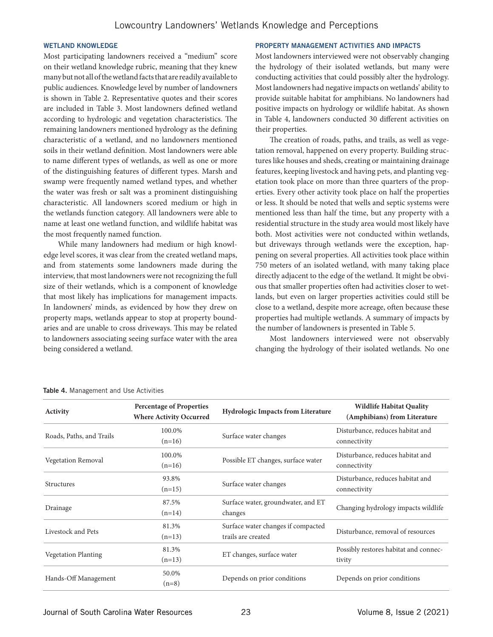#### WETLAND KNOWLEDGE

Most participating landowners received a "medium" score on their wetland knowledge rubric, meaning that they knew many but not all of the wetland facts that are readily available to public audiences. Knowledge level by number of landowners is shown in Table 2. Representative quotes and their scores are included in Table 3. Most landowners defined wetland according to hydrologic and vegetation characteristics. The remaining landowners mentioned hydrology as the defining characteristic of a wetland, and no landowners mentioned soils in their wetland definition. Most landowners were able to name different types of wetlands, as well as one or more of the distinguishing features of different types. Marsh and swamp were frequently named wetland types, and whether the water was fresh or salt was a prominent distinguishing characteristic. All landowners scored medium or high in the wetlands function category. All landowners were able to name at least one wetland function, and wildlife habitat was the most frequently named function.

While many landowners had medium or high knowledge level scores, it was clear from the created wetland maps, and from statements some landowners made during the interview, that most landowners were not recognizing the full size of their wetlands, which is a component of knowledge that most likely has implications for management impacts. In landowners' minds, as evidenced by how they drew on property maps, wetlands appear to stop at property boundaries and are unable to cross driveways. This may be related to landowners associating seeing surface water with the area being considered a wetland.

#### PROPERTY MANAGEMENT ACTIVITIES AND IMPACTS

Most landowners interviewed were not observably changing the hydrology of their isolated wetlands, but many were conducting activities that could possibly alter the hydrology. Most landowners had negative impacts on wetlands' ability to provide suitable habitat for amphibians. No landowners had positive impacts on hydrology or wildlife habitat. As shown in Table 4, landowners conducted 30 different activities on their properties.

The creation of roads, paths, and trails, as well as vegetation removal, happened on every property. Building structures like houses and sheds, creating or maintaining drainage features, keeping livestock and having pets, and planting vegetation took place on more than three quarters of the properties. Every other activity took place on half the properties or less. It should be noted that wells and septic systems were mentioned less than half the time, but any property with a residential structure in the study area would most likely have both. Most activities were not conducted within wetlands, but driveways through wetlands were the exception, happening on several properties. All activities took place within 750 meters of an isolated wetland, with many taking place directly adjacent to the edge of the wetland. It might be obvious that smaller properties often had activities closer to wetlands, but even on larger properties activities could still be close to a wetland, despite more acreage, often because these properties had multiple wetlands. A summary of impacts by the number of landowners is presented in Table 5.

Most landowners interviewed were not observably changing the hydrology of their isolated wetlands. No one

| Activity                   | <b>Percentage of Properties</b><br><b>Where Activity Occurred</b> | <b>Hydrologic Impacts from Literature</b>                | <b>Wildlife Habitat Quality</b><br>(Amphibians) from Literature |
|----------------------------|-------------------------------------------------------------------|----------------------------------------------------------|-----------------------------------------------------------------|
| Roads, Paths, and Trails   | 100.0%<br>$(n=16)$                                                | Surface water changes                                    | Disturbance, reduces habitat and<br>connectivity                |
| Vegetation Removal         | 100.0%<br>$(n=16)$                                                | Possible ET changes, surface water                       | Disturbance, reduces habitat and<br>connectivity                |
| Structures                 | 93.8%<br>$(n=15)$                                                 | Surface water changes                                    | Disturbance, reduces habitat and<br>connectivity                |
| Drainage                   | 87.5%<br>$(n=14)$                                                 | Surface water, groundwater, and ET<br>changes            | Changing hydrology impacts wildlife                             |
| Livestock and Pets         | 81.3%<br>$(n=13)$                                                 | Surface water changes if compacted<br>trails are created | Disturbance, removal of resources                               |
| <b>Vegetation Planting</b> | 81.3%<br>$(n=13)$                                                 | ET changes, surface water                                | Possibly restores habitat and connec-<br>tivity                 |
| Hands-Off Management       | 50.0%<br>$(n=8)$                                                  | Depends on prior conditions                              | Depends on prior conditions                                     |

#### Table 4. Management and Use Activities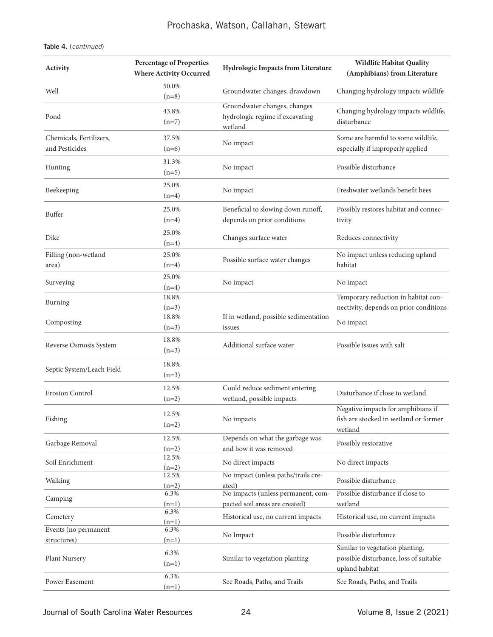# Prochaska, Watson, Callahan, Stewart

# Table 4. (*continued*)

| Activity                            | <b>Percentage of Properties</b><br><b>Where Activity Occurred</b> | Hydrologic Impacts from Literature                                         | <b>Wildlife Habitat Quality</b><br>(Amphibians) from Literature                             |
|-------------------------------------|-------------------------------------------------------------------|----------------------------------------------------------------------------|---------------------------------------------------------------------------------------------|
| Well                                | 50.0%<br>$(n=8)$                                                  | Groundwater changes, drawdown                                              | Changing hydrology impacts wildlife                                                         |
| Pond                                | 43.8%<br>$(n=7)$                                                  | Groundwater changes, changes<br>hydrologic regime if excavating<br>wetland | Changing hydrology impacts wildlife,<br>disturbance                                         |
| Chemicals, Fertilizers,             | 37.5%                                                             | No impact                                                                  | Some are harmful to some wildlife,                                                          |
| and Pesticides                      | $(n=6)$                                                           |                                                                            | especially if improperly applied                                                            |
| Hunting                             | 31.3%<br>$(n=5)$                                                  | No impact                                                                  | Possible disturbance                                                                        |
| Beekeeping                          | 25.0%<br>$(n=4)$                                                  | No impact                                                                  | Freshwater wetlands benefit bees                                                            |
| Buffer                              | 25.0%<br>$(n=4)$                                                  | Beneficial to slowing down runoff,<br>depends on prior conditions          | Possibly restores habitat and connec-<br>tivity                                             |
| Dike                                | 25.0%<br>$(n=4)$                                                  | Changes surface water                                                      | Reduces connectivity                                                                        |
| Filling (non-wetland<br>area)       | 25.0%<br>$(n=4)$                                                  | Possible surface water changes                                             | No impact unless reducing upland<br>habitat                                                 |
| Surveying                           | 25.0%<br>$(n=4)$                                                  | No impact                                                                  | No impact                                                                                   |
| Burning                             | 18.8%<br>$(n=3)$                                                  |                                                                            | Temporary reduction in habitat con-<br>nectivity, depends on prior conditions               |
| Composting                          | 18.8%<br>$(n=3)$                                                  | If in wetland, possible sedimentation<br>issues                            | No impact                                                                                   |
| Reverse Osmosis System              | 18.8%<br>$(n=3)$                                                  | Additional surface water                                                   | Possible issues with salt                                                                   |
| Septic System/Leach Field           | 18.8%<br>$(n=3)$                                                  |                                                                            |                                                                                             |
| <b>Erosion Control</b>              | 12.5%<br>$(n=2)$                                                  | Could reduce sediment entering<br>wetland, possible impacts                | Disturbance if close to wetland                                                             |
| Fishing                             | 12.5%<br>$(n=2)$                                                  | No impacts                                                                 | Negative impacts for amphibians if<br>fish are stocked in wetland or former<br>wetland      |
| Garbage Removal                     | 12.5%<br>$(n=2)$                                                  | Depends on what the garbage was<br>and how it was removed                  | Possibly restorative                                                                        |
| Soil Enrichment                     | 12.5%<br>$(n=2)$                                                  | No direct impacts                                                          | No direct impacts                                                                           |
| Walking                             | 12.5%<br>$(n=2)$                                                  | No impact (unless paths/trails cre-<br>ated)                               | Possible disturbance                                                                        |
| Camping                             | 6.3%<br>$(n=1)$                                                   | No impacts (unless permanent, com-<br>pacted soil areas are created)       | Possible disturbance if close to<br>wetland                                                 |
| Cemetery                            | 6.3%<br>$(n=1)$                                                   | Historical use, no current impacts                                         | Historical use, no current impacts                                                          |
| Events (no permanent<br>structures) | 6.3%<br>$(n=1)$                                                   | No Impact                                                                  | Possible disturbance                                                                        |
| Plant Nursery                       | 6.3%<br>$(n=1)$                                                   | Similar to vegetation planting                                             | Similar to vegetation planting,<br>possible disturbance, loss of suitable<br>upland habitat |
| Power Easement                      | 6.3%<br>$(n=1)$                                                   | See Roads, Paths, and Trails                                               | See Roads, Paths, and Trails                                                                |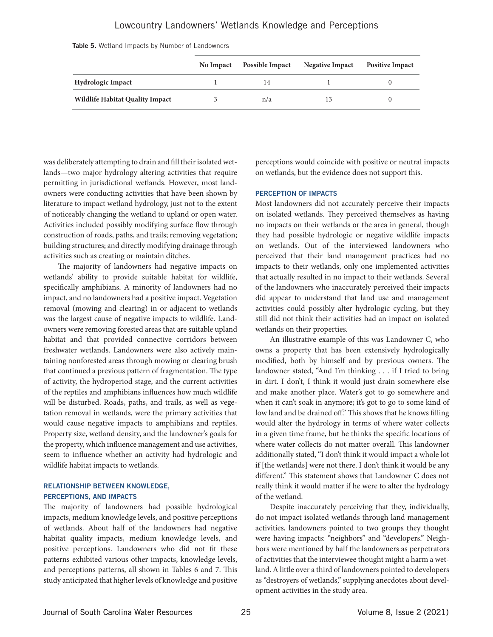# Lowcountry Landowners' Wetlands Knowledge and Perceptions

|  |  |  |  |  |  | Table 5. Wetland Impacts by Number of Landowners |
|--|--|--|--|--|--|--------------------------------------------------|
|--|--|--|--|--|--|--------------------------------------------------|

|                                        | No Impact | <b>Possible Impact</b> | <b>Negative Impact</b> | <b>Positive Impact</b> |
|----------------------------------------|-----------|------------------------|------------------------|------------------------|
| <b>Hydrologic Impact</b>               |           | 14                     |                        |                        |
| <b>Wildlife Habitat Quality Impact</b> |           | n/a                    |                        |                        |

was deliberately attempting to drain and fill their isolated wetlands—two major hydrology altering activities that require permitting in jurisdictional wetlands. However, most landowners were conducting activities that have been shown by literature to impact wetland hydrology, just not to the extent of noticeably changing the wetland to upland or open water. Activities included possibly modifying surface flow through construction of roads, paths, and trails; removing vegetation; building structures; and directly modifying drainage through activities such as creating or maintain ditches.

The majority of landowners had negative impacts on wetlands' ability to provide suitable habitat for wildlife, specifically amphibians. A minority of landowners had no impact, and no landowners had a positive impact. Vegetation removal (mowing and clearing) in or adjacent to wetlands was the largest cause of negative impacts to wildlife. Landowners were removing forested areas that are suitable upland habitat and that provided connective corridors between freshwater wetlands. Landowners were also actively maintaining nonforested areas through mowing or clearing brush that continued a previous pattern of fragmentation. The type of activity, the hydroperiod stage, and the current activities of the reptiles and amphibians influences how much wildlife will be disturbed. Roads, paths, and trails, as well as vegetation removal in wetlands, were the primary activities that would cause negative impacts to amphibians and reptiles. Property size, wetland density, and the landowner's goals for the property, which influence management and use activities, seem to influence whether an activity had hydrologic and wildlife habitat impacts to wetlands.

#### RELATIONSHIP BETWEEN KNOWLEDGE, PERCEPTIONS, AND IMPACTS

The majority of landowners had possible hydrological impacts, medium knowledge levels, and positive perceptions of wetlands. About half of the landowners had negative habitat quality impacts, medium knowledge levels, and positive perceptions. Landowners who did not fit these patterns exhibited various other impacts, knowledge levels, and perceptions patterns, all shown in Tables 6 and 7. This study anticipated that higher levels of knowledge and positive

perceptions would coincide with positive or neutral impacts on wetlands, but the evidence does not support this.

#### PERCEPTION OF IMPACTS

Most landowners did not accurately perceive their impacts on isolated wetlands. They perceived themselves as having no impacts on their wetlands or the area in general, though they had possible hydrologic or negative wildlife impacts on wetlands. Out of the interviewed landowners who perceived that their land management practices had no impacts to their wetlands, only one implemented activities that actually resulted in no impact to their wetlands. Several of the landowners who inaccurately perceived their impacts did appear to understand that land use and management activities could possibly alter hydrologic cycling, but they still did not think their activities had an impact on isolated wetlands on their properties.

An illustrative example of this was Landowner C, who owns a property that has been extensively hydrologically modified, both by himself and by previous owners. The landowner stated, "And I'm thinking . . . if I tried to bring in dirt. I don't, I think it would just drain somewhere else and make another place. Water's got to go somewhere and when it can't soak in anymore; it's got to go to some kind of low land and be drained off." This shows that he knows filling would alter the hydrology in terms of where water collects in a given time frame, but he thinks the specific locations of where water collects do not matter overall. This landowner additionally stated, "I don't think it would impact a whole lot if [the wetlands] were not there. I don't think it would be any different." This statement shows that Landowner C does not really think it would matter if he were to alter the hydrology of the wetland.

Despite inaccurately perceiving that they, individually, do not impact isolated wetlands through land management activities, landowners pointed to two groups they thought were having impacts: "neighbors" and "developers." Neighbors were mentioned by half the landowners as perpetrators of activities that the interviewee thought might a harm a wetland. A little over a third of landowners pointed to developers as "destroyers of wetlands," supplying anecdotes about development activities in the study area.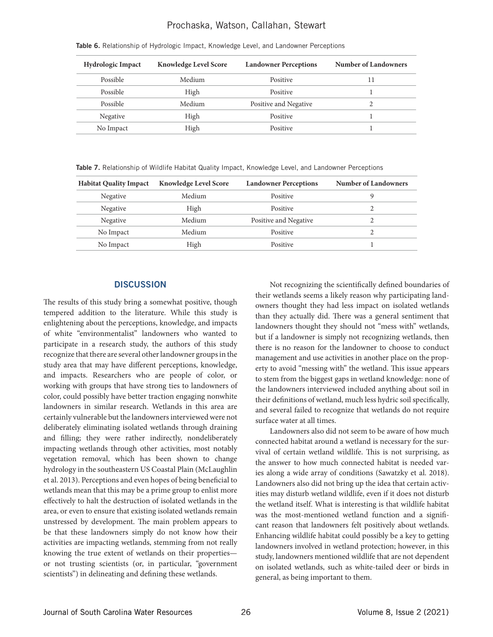# Prochaska, Watson, Callahan, Stewart

| <b>Hydrologic Impact</b> | <b>Knowledge Level Score</b> | <b>Landowner Perceptions</b> | <b>Number of Landowners</b> |
|--------------------------|------------------------------|------------------------------|-----------------------------|
| Possible                 | Medium                       | Positive                     | 11                          |
| Possible                 | High                         | Positive                     |                             |
| Possible                 | Medium                       | Positive and Negative        |                             |
| Negative                 | High                         | Positive                     |                             |
| No Impact                | High                         | Positive                     |                             |

Table 6. Relationship of Hydrologic Impact, Knowledge Level, and Landowner Perceptions

Table 7. Relationship of Wildlife Habitat Quality Impact, Knowledge Level, and Landowner Perceptions

| <b>Habitat Quality Impact</b> | <b>Knowledge Level Score</b> | <b>Landowner Perceptions</b> | <b>Number of Landowners</b> |
|-------------------------------|------------------------------|------------------------------|-----------------------------|
| Negative                      | Medium                       | Positive                     |                             |
| Negative                      | High                         | Positive                     |                             |
| Negative                      | Medium                       | Positive and Negative        |                             |
| No Impact                     | Medium                       | Positive                     |                             |
| No Impact                     | High                         | Positive                     |                             |

#### **DISCUSSION**

The results of this study bring a somewhat positive, though tempered addition to the literature. While this study is enlightening about the perceptions, knowledge, and impacts of white "environmentalist" landowners who wanted to participate in a research study, the authors of this study recognize that there are several other landowner groups in the study area that may have different perceptions, knowledge, and impacts. Researchers who are people of color, or working with groups that have strong ties to landowners of color, could possibly have better traction engaging nonwhite landowners in similar research. Wetlands in this area are certainly vulnerable but the landowners interviewed were not deliberately eliminating isolated wetlands through draining and filling; they were rather indirectly, nondeliberately impacting wetlands through other activities, most notably vegetation removal, which has been shown to change hydrology in the southeastern US Coastal Plain (McLaughlin et al. 2013). Perceptions and even hopes of being beneficial to wetlands mean that this may be a prime group to enlist more effectively to halt the destruction of isolated wetlands in the area, or even to ensure that existing isolated wetlands remain unstressed by development. The main problem appears to be that these landowners simply do not know how their activities are impacting wetlands, stemming from not really knowing the true extent of wetlands on their properties or not trusting scientists (or, in particular, "government scientists") in delineating and defining these wetlands.

Not recognizing the scientifically defined boundaries of their wetlands seems a likely reason why participating landowners thought they had less impact on isolated wetlands than they actually did. There was a general sentiment that landowners thought they should not "mess with" wetlands, but if a landowner is simply not recognizing wetlands, then there is no reason for the landowner to choose to conduct management and use activities in another place on the property to avoid "messing with" the wetland. This issue appears to stem from the biggest gaps in wetland knowledge: none of the landowners interviewed included anything about soil in their definitions of wetland, much less hydric soil specifically, and several failed to recognize that wetlands do not require surface water at all times.

Landowners also did not seem to be aware of how much connected habitat around a wetland is necessary for the survival of certain wetland wildlife. This is not surprising, as the answer to how much connected habitat is needed varies along a wide array of conditions (Sawatzky et al. 2018). Landowners also did not bring up the idea that certain activities may disturb wetland wildlife, even if it does not disturb the wetland itself. What is interesting is that wildlife habitat was the most-mentioned wetland function and a significant reason that landowners felt positively about wetlands. Enhancing wildlife habitat could possibly be a key to getting landowners involved in wetland protection; however, in this study, landowners mentioned wildlife that are not dependent on isolated wetlands, such as white-tailed deer or birds in general, as being important to them.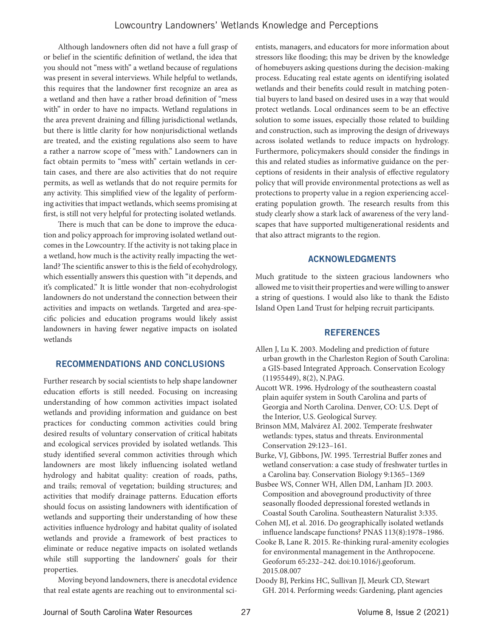Although landowners often did not have a full grasp of or belief in the scientific definition of wetland, the idea that you should not "mess with" a wetland because of regulations was present in several interviews. While helpful to wetlands, this requires that the landowner first recognize an area as a wetland and then have a rather broad definition of "mess with" in order to have no impacts. Wetland regulations in the area prevent draining and filling jurisdictional wetlands, but there is little clarity for how nonjurisdictional wetlands are treated, and the existing regulations also seem to have a rather a narrow scope of "mess with." Landowners can in fact obtain permits to "mess with" certain wetlands in certain cases, and there are also activities that do not require permits, as well as wetlands that do not require permits for any activity. This simplified view of the legality of performing activities that impact wetlands, which seems promising at first, is still not very helpful for protecting isolated wetlands.

There is much that can be done to improve the education and policy approach for improving isolated wetland outcomes in the Lowcountry. If the activity is not taking place in a wetland, how much is the activity really impacting the wetland? The scientific answer to this is the field of ecohydrology, which essentially answers this question with "it depends, and it's complicated." It is little wonder that non-ecohydrologist landowners do not understand the connection between their activities and impacts on wetlands. Targeted and area-specific policies and education programs would likely assist landowners in having fewer negative impacts on isolated wetlands

# RECOMMENDATIONS AND CONCLUSIONS

Further research by social scientists to help shape landowner education efforts is still needed. Focusing on increasing understanding of how common activities impact isolated wetlands and providing information and guidance on best practices for conducting common activities could bring desired results of voluntary conservation of critical habitats and ecological services provided by isolated wetlands. This study identified several common activities through which landowners are most likely influencing isolated wetland hydrology and habitat quality: creation of roads, paths, and trails; removal of vegetation; building structures; and activities that modify drainage patterns. Education efforts should focus on assisting landowners with identification of wetlands and supporting their understanding of how these activities influence hydrology and habitat quality of isolated wetlands and provide a framework of best practices to eliminate or reduce negative impacts on isolated wetlands while still supporting the landowners' goals for their properties.

Moving beyond landowners, there is anecdotal evidence that real estate agents are reaching out to environmental scientists, managers, and educators for more information about stressors like flooding; this may be driven by the knowledge of homebuyers asking questions during the decision-making process. Educating real estate agents on identifying isolated wetlands and their benefits could result in matching potential buyers to land based on desired uses in a way that would protect wetlands. Local ordinances seem to be an effective solution to some issues, especially those related to building and construction, such as improving the design of driveways across isolated wetlands to reduce impacts on hydrology. Furthermore, policymakers should consider the findings in this and related studies as informative guidance on the perceptions of residents in their analysis of effective regulatory policy that will provide environmental protections as well as protections to property value in a region experiencing accelerating population growth. The research results from this study clearly show a stark lack of awareness of the very landscapes that have supported multigenerational residents and that also attract migrants to the region.

### ACKNOWLEDGMENTS

Much gratitude to the sixteen gracious landowners who allowed me to visit their properties and were willing to answer a string of questions. I would also like to thank the Edisto Island Open Land Trust for helping recruit participants.

# **REFERENCES**

- Allen J, Lu K. 2003. Modeling and prediction of future urban growth in the Charleston Region of South Carolina: a GIS-based Integrated Approach. Conservation Ecology (11955449), 8(2), N.PAG.
- Aucott WR. 1996. Hydrology of the southeastern coastal plain aquifer system in South Carolina and parts of Georgia and North Carolina. Denver, CO: U.S. Dept of the Interior, U.S. Geological Survey.
- Brinson MM, Malvárez AI. 2002. Temperate freshwater wetlands: types, status and threats. Environmental Conservation 29:123–161.

Burke, VJ, Gibbons, JW. 1995. Terrestrial Buffer zones and wetland conservation: a case study of freshwater turtles in a Carolina bay. Conservation Biology 9:1365–1369

- Busbee WS, Conner WH, Allen DM, Lanham JD. 2003. Composition and aboveground productivity of three seasonally flooded depressional forested wetlands in Coastal South Carolina. Southeastern Naturalist 3:335.
- Cohen MJ, et al. 2016. Do geographically isolated wetlands influence landscape functions? PNAS 113(8):1978–1986.
- Cooke B, Lane R. 2015. Re-thinking rural-amenity ecologies for environmental management in the Anthropocene. Geoforum 65:232–242. doi:10.1016/j.geoforum. 2015.08.007
- Doody BJ, Perkins HC, Sullivan JJ, Meurk CD, Stewart GH. 2014. Performing weeds: Gardening, plant agencies